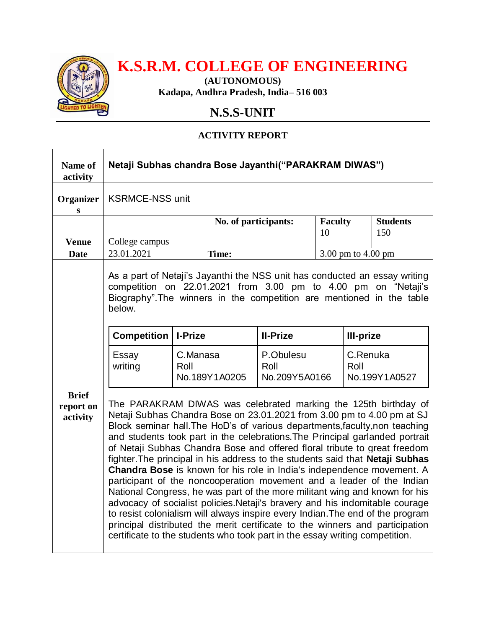

## **K.S.R.M. COLLEGE OF ENGINEERING**

**(AUTONOMOUS) Kadapa, Andhra Pradesh, India– 516 003**

## **N.S.S-UNIT**

## **ACTIVITY REPORT**

| Name of<br>activity                   | Netaji Subhas chandra Bose Jayanthi("PARAKRAM DIWAS")                                                                                                                                                                                                                                                                                                                                                                                                                                                                                                                                                                                                                                                                                                                                                                                                                                                                                                                                                                                           |                  |                      |                                    |                    |                                   |                 |
|---------------------------------------|-------------------------------------------------------------------------------------------------------------------------------------------------------------------------------------------------------------------------------------------------------------------------------------------------------------------------------------------------------------------------------------------------------------------------------------------------------------------------------------------------------------------------------------------------------------------------------------------------------------------------------------------------------------------------------------------------------------------------------------------------------------------------------------------------------------------------------------------------------------------------------------------------------------------------------------------------------------------------------------------------------------------------------------------------|------------------|----------------------|------------------------------------|--------------------|-----------------------------------|-----------------|
| Organizer<br>S                        | <b>KSRMCE-NSS unit</b>                                                                                                                                                                                                                                                                                                                                                                                                                                                                                                                                                                                                                                                                                                                                                                                                                                                                                                                                                                                                                          |                  |                      |                                    |                    |                                   |                 |
|                                       |                                                                                                                                                                                                                                                                                                                                                                                                                                                                                                                                                                                                                                                                                                                                                                                                                                                                                                                                                                                                                                                 |                  | No. of participants: |                                    | <b>Faculty</b>     |                                   | <b>Students</b> |
| <b>Venue</b>                          | College campus                                                                                                                                                                                                                                                                                                                                                                                                                                                                                                                                                                                                                                                                                                                                                                                                                                                                                                                                                                                                                                  |                  |                      |                                    | 10                 |                                   | 150             |
| <b>Date</b>                           | 23.01.2021                                                                                                                                                                                                                                                                                                                                                                                                                                                                                                                                                                                                                                                                                                                                                                                                                                                                                                                                                                                                                                      |                  | Time:                |                                    | 3.00 pm to 4.00 pm |                                   |                 |
|                                       | As a part of Netaji's Jayanthi the NSS unit has conducted an essay writing<br>competition on 22.01.2021 from 3.00 pm to 4.00 pm on "Netaji's<br>Biography". The winners in the competition are mentioned in the table<br>below.                                                                                                                                                                                                                                                                                                                                                                                                                                                                                                                                                                                                                                                                                                                                                                                                                 |                  |                      |                                    |                    |                                   |                 |
| <b>Brief</b><br>report on<br>activity | <b>Competition</b>                                                                                                                                                                                                                                                                                                                                                                                                                                                                                                                                                                                                                                                                                                                                                                                                                                                                                                                                                                                                                              | I-Prize          |                      | <b>II-Prize</b>                    |                    | <b>III-prize</b>                  |                 |
|                                       | Essay<br>writing                                                                                                                                                                                                                                                                                                                                                                                                                                                                                                                                                                                                                                                                                                                                                                                                                                                                                                                                                                                                                                | C.Manasa<br>Roll | No.189Y1A0205        | P.Obulesu<br>Roll<br>No.209Y5A0166 |                    | C.Renuka<br>Roll<br>No.199Y1A0527 |                 |
|                                       | The PARAKRAM DIWAS was celebrated marking the 125th birthday of<br>Netaji Subhas Chandra Bose on 23.01.2021 from 3.00 pm to 4.00 pm at SJ<br>Block seminar hall. The HoD's of various departments, faculty, non teaching<br>and students took part in the celebrations. The Principal garlanded portrait<br>of Netaji Subhas Chandra Bose and offered floral tribute to great freedom<br>fighter. The principal in his address to the students said that Netaji Subhas<br><b>Chandra Bose</b> is known for his role in India's independence movement. A<br>participant of the noncooperation movement and a leader of the Indian<br>National Congress, he was part of the more militant wing and known for his<br>advocacy of socialist policies. Netaji's bravery and his indomitable courage<br>to resist colonialism will always inspire every Indian. The end of the program<br>principal distributed the merit certificate to the winners and participation<br>certificate to the students who took part in the essay writing competition. |                  |                      |                                    |                    |                                   |                 |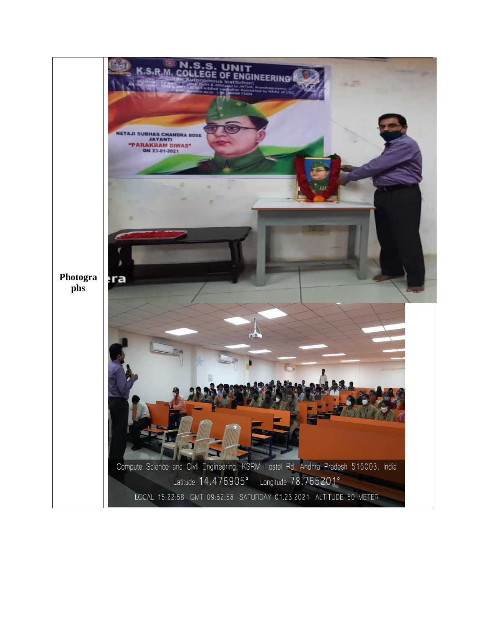